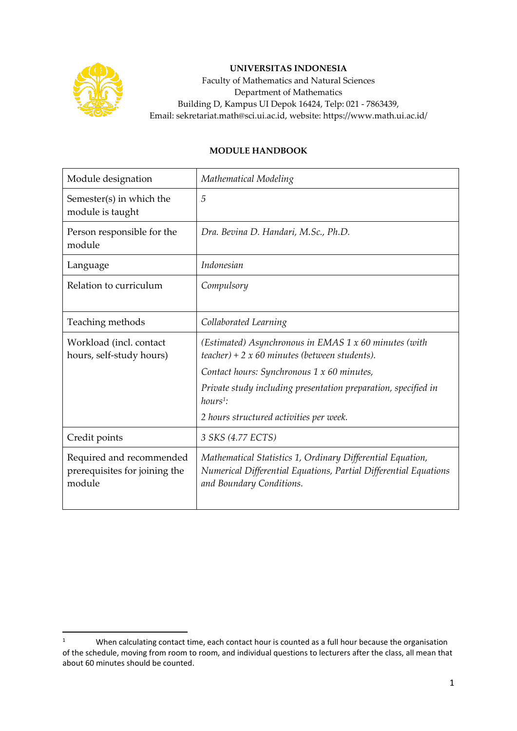

## **UNIVERSITAS INDONESIA**

Faculty of Mathematics and Natural Sciences Department of Mathematics Building D, Kampus UI Depok 16424, Telp: 021 - 7863439, Email: sekretariat.math@sci.ui.ac.id, website: https://www.math.ui.ac.id/

## **MODULE HANDBOOK**

| Module designation                                                  | Mathematical Modeling                                                                                                                                      |  |  |
|---------------------------------------------------------------------|------------------------------------------------------------------------------------------------------------------------------------------------------------|--|--|
| Semester(s) in which the<br>module is taught                        | 5                                                                                                                                                          |  |  |
| Person responsible for the<br>module                                | Dra. Bevina D. Handari, M.Sc., Ph.D.                                                                                                                       |  |  |
| Language                                                            | Indonesian                                                                                                                                                 |  |  |
| Relation to curriculum                                              | Compulsory                                                                                                                                                 |  |  |
| Teaching methods                                                    | Collaborated Learning                                                                                                                                      |  |  |
| Workload (incl. contact<br>hours, self-study hours)                 | (Estimated) Asynchronous in EMAS 1 x 60 minutes (with<br>$teacher$ ) + 2 x 60 minutes (between students).                                                  |  |  |
|                                                                     | Contact hours: Synchronous 1 x 60 minutes,                                                                                                                 |  |  |
|                                                                     | Private study including presentation preparation, specified in<br>$hours1$ :                                                                               |  |  |
|                                                                     | 2 hours structured activities per week.                                                                                                                    |  |  |
| Credit points                                                       | 3 SKS (4.77 ECTS)                                                                                                                                          |  |  |
| Required and recommended<br>prerequisites for joining the<br>module | Mathematical Statistics 1, Ordinary Differential Equation,<br>Numerical Differential Equations, Partial Differential Equations<br>and Boundary Conditions. |  |  |

<sup>&</sup>lt;sup>1</sup> When calculating contact time, each contact hour is counted as a full hour because the organisation of the schedule, moving from room to room, and individual questions to lecturers after the class, all mean that about 60 minutes should be counted.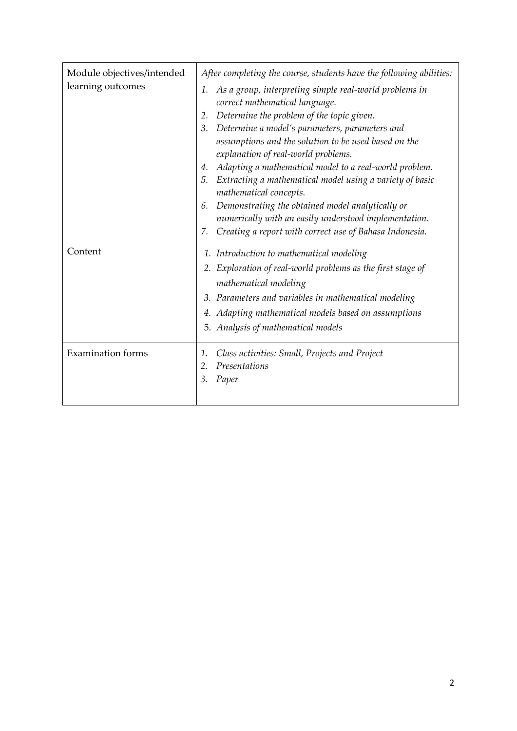| Module objectives/intended | After completing the course, students have the following abilities:                                                                                                                                                                                                                                                                                                                                                                                                                                                                                                                                                                                      |  |
|----------------------------|----------------------------------------------------------------------------------------------------------------------------------------------------------------------------------------------------------------------------------------------------------------------------------------------------------------------------------------------------------------------------------------------------------------------------------------------------------------------------------------------------------------------------------------------------------------------------------------------------------------------------------------------------------|--|
| learning outcomes          | As a group, interpreting simple real-world problems in<br>1.<br>correct mathematical language.<br>Determine the problem of the topic given.<br>2.<br>Determine a model's parameters, parameters and<br>3.<br>assumptions and the solution to be used based on the<br>explanation of real-world problems.<br>Adapting a mathematical model to a real-world problem.<br>4.<br>Extracting a mathematical model using a variety of basic<br>5.<br>mathematical concepts.<br>Demonstrating the obtained model analytically or<br>6.<br>numerically with an easily understood implementation.<br>Creating a report with correct use of Bahasa Indonesia.<br>7. |  |
| Content                    | 1. Introduction to mathematical modeling<br>2. Exploration of real-world problems as the first stage of<br>mathematical modeling<br>3. Parameters and variables in mathematical modeling<br>4. Adapting mathematical models based on assumptions<br>5. Analysis of mathematical models                                                                                                                                                                                                                                                                                                                                                                   |  |
| <b>Examination</b> forms   | Class activities: Small, Projects and Project<br>1.<br>Presentations<br>2.<br>3.<br>Paper                                                                                                                                                                                                                                                                                                                                                                                                                                                                                                                                                                |  |